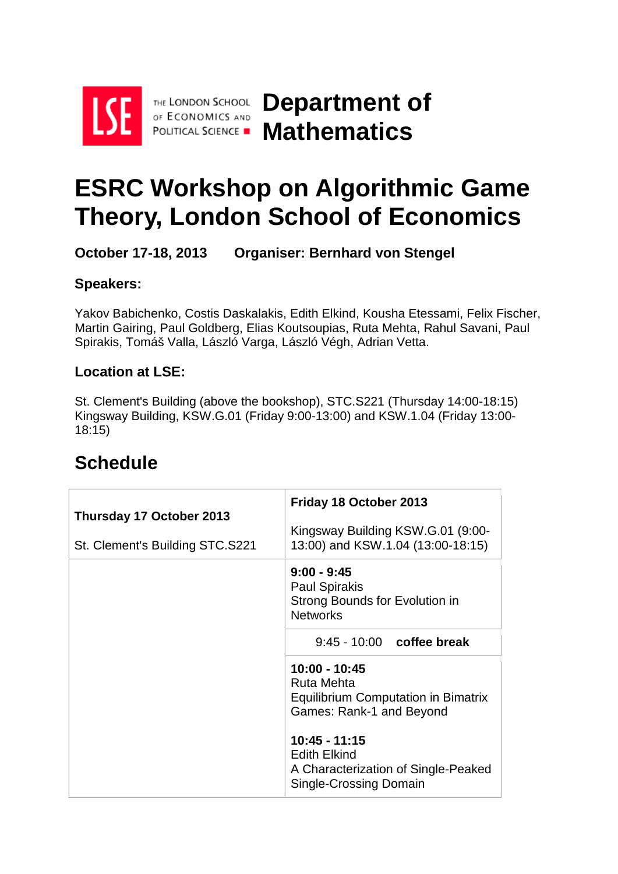

THE LONDON SCHOOL OF ECONOMICS AND

**Department of POLITICAL SCIENCE - Mathematics** 

# **ESRC Workshop on Algorithmic Game Theory, London School of Economics**

**October 17-18, 2013 Organiser: Bernhard von Stengel**

#### **Speakers:**

Yakov Babichenko, Costis Daskalakis, Edith Elkind, Kousha Etessami, Felix Fischer, Martin Gairing, Paul Goldberg, Elias Koutsoupias, Ruta Mehta, Rahul Savani, Paul Spirakis, Tomáš Valla, László Varga, László Végh, Adrian Vetta.

#### **Location at LSE:**

St. Clement's Building (above the bookshop), STC.S221 (Thursday 14:00-18:15) Kingsway Building, KSW.G.01 (Friday 9:00-13:00) and KSW.1.04 (Friday 13:00- 18:15)

### **Thursday 17 October 2013** St. Clement's Building STC.S221 **Friday 18 October 2013** Kingsway Building KSW.G.01 (9:00- 13:00) and KSW.1.04 (13:00-18:15) **9:00 - 9:45** Paul Spirakis Strong Bounds for Evolution in **Networks** 9:45 - 10:00 **coffee break 10:00 - 10:45** Ruta Mehta Equilibrium Computation in Bimatrix Games: Rank-1 and Beyond **10:45 - 11:15** Edith Elkind A Characterization of Single-Peaked Single-Crossing Domain

## **Schedule**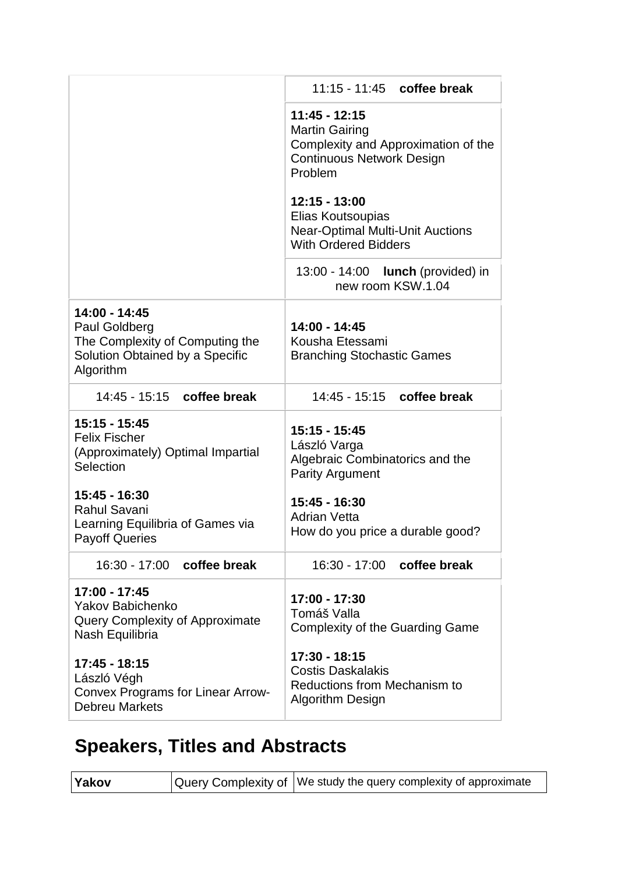|                                                                                                                   | 11:15 - 11:45 coffee break                                                                                                                                                                                                                   |
|-------------------------------------------------------------------------------------------------------------------|----------------------------------------------------------------------------------------------------------------------------------------------------------------------------------------------------------------------------------------------|
|                                                                                                                   | 11:45 - 12:15<br><b>Martin Gairing</b><br>Complexity and Approximation of the<br><b>Continuous Network Design</b><br>Problem<br>12:15 - 13:00<br>Elias Koutsoupias<br><b>Near-Optimal Multi-Unit Auctions</b><br><b>With Ordered Bidders</b> |
|                                                                                                                   | 13:00 - 14:00 <b>lunch</b> (provided) in<br>new room KSW.1.04                                                                                                                                                                                |
| 14:00 - 14:45<br>Paul Goldberg<br>The Complexity of Computing the<br>Solution Obtained by a Specific<br>Algorithm | 14:00 - 14:45<br>Kousha Etessami<br><b>Branching Stochastic Games</b>                                                                                                                                                                        |
| 14:45 - 15:15 coffee break                                                                                        | 14:45 - 15:15 coffee break                                                                                                                                                                                                                   |
| 15:15 - 15:45<br><b>Felix Fischer</b><br>(Approximately) Optimal Impartial<br>Selection                           | 15:15 - 15:45<br>László Varga<br>Algebraic Combinatorics and the<br><b>Parity Argument</b>                                                                                                                                                   |
| 15:45 - 16:30<br><b>Rahul Savani</b><br>Learning Equilibria of Games via<br><b>Payoff Queries</b>                 | 15:45 - 16:30<br><b>Adrian Vetta</b><br>How do you price a durable good?                                                                                                                                                                     |
| 16:30 - 17:00 coffee break                                                                                        | 16:30 - 17:00 coffee break                                                                                                                                                                                                                   |
| 17:00 - 17:45<br><b>Yakov Babichenko</b><br>Query Complexity of Approximate<br>Nash Equilibria                    | 17:00 - 17:30<br>Tomáš Valla<br>Complexity of the Guarding Game                                                                                                                                                                              |
| 17:45 - 18:15<br>László Végh<br>Convex Programs for Linear Arrow-<br><b>Debreu Markets</b>                        | 17:30 - 18:15<br><b>Costis Daskalakis</b><br>Reductions from Mechanism to<br><b>Algorithm Design</b>                                                                                                                                         |

# **Speakers, Titles and Abstracts**

| <b>Yakov</b> | Query Complexity of   We study the query complexity of approximate |
|--------------|--------------------------------------------------------------------|
|--------------|--------------------------------------------------------------------|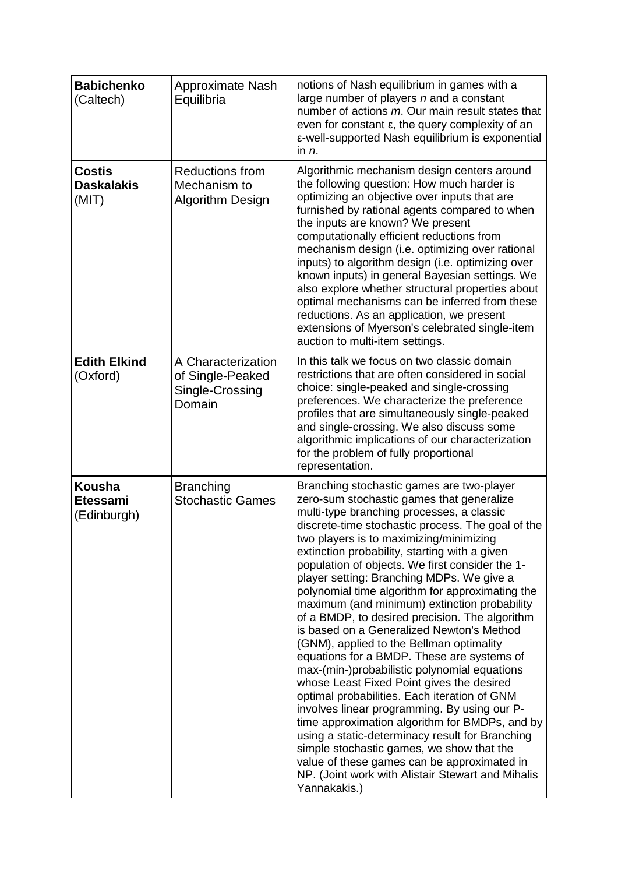| <b>Babichenko</b><br>(Caltech)                  | <b>Approximate Nash</b><br>Equilibria                               | notions of Nash equilibrium in games with a<br>large number of players n and a constant<br>number of actions m. Our main result states that<br>even for constant $\varepsilon$ , the query complexity of an<br>ε-well-supported Nash equilibrium is exponential<br>in $n$ .                                                                                                                                                                                                                                                                                                                                                                                                                                                                                                                                                                                                                                                                                                                                                                                                                                                                         |
|-------------------------------------------------|---------------------------------------------------------------------|-----------------------------------------------------------------------------------------------------------------------------------------------------------------------------------------------------------------------------------------------------------------------------------------------------------------------------------------------------------------------------------------------------------------------------------------------------------------------------------------------------------------------------------------------------------------------------------------------------------------------------------------------------------------------------------------------------------------------------------------------------------------------------------------------------------------------------------------------------------------------------------------------------------------------------------------------------------------------------------------------------------------------------------------------------------------------------------------------------------------------------------------------------|
| <b>Costis</b><br><b>Daskalakis</b><br>(MIT)     | <b>Reductions from</b><br>Mechanism to<br>Algorithm Design          | Algorithmic mechanism design centers around<br>the following question: How much harder is<br>optimizing an objective over inputs that are<br>furnished by rational agents compared to when<br>the inputs are known? We present<br>computationally efficient reductions from<br>mechanism design (i.e. optimizing over rational<br>inputs) to algorithm design (i.e. optimizing over<br>known inputs) in general Bayesian settings. We<br>also explore whether structural properties about<br>optimal mechanisms can be inferred from these<br>reductions. As an application, we present<br>extensions of Myerson's celebrated single-item<br>auction to multi-item settings.                                                                                                                                                                                                                                                                                                                                                                                                                                                                        |
| <b>Edith Elkind</b><br>(Oxford)                 | A Characterization<br>of Single-Peaked<br>Single-Crossing<br>Domain | In this talk we focus on two classic domain<br>restrictions that are often considered in social<br>choice: single-peaked and single-crossing<br>preferences. We characterize the preference<br>profiles that are simultaneously single-peaked<br>and single-crossing. We also discuss some<br>algorithmic implications of our characterization<br>for the problem of fully proportional<br>representation.                                                                                                                                                                                                                                                                                                                                                                                                                                                                                                                                                                                                                                                                                                                                          |
| <b>Kousha</b><br><b>Etessami</b><br>(Edinburgh) | <b>Branching</b><br><b>Stochastic Games</b>                         | Branching stochastic games are two-player<br>zero-sum stochastic games that generalize<br>multi-type branching processes, a classic<br>discrete-time stochastic process. The goal of the<br>two players is to maximizing/minimizing<br>extinction probability, starting with a given<br>population of objects. We first consider the 1-<br>player setting: Branching MDPs. We give a<br>polynomial time algorithm for approximating the<br>maximum (and minimum) extinction probability<br>of a BMDP, to desired precision. The algorithm<br>is based on a Generalized Newton's Method<br>(GNM), applied to the Bellman optimality<br>equations for a BMDP. These are systems of<br>max-(min-)probabilistic polynomial equations<br>whose Least Fixed Point gives the desired<br>optimal probabilities. Each iteration of GNM<br>involves linear programming. By using our P-<br>time approximation algorithm for BMDPs, and by<br>using a static-determinacy result for Branching<br>simple stochastic games, we show that the<br>value of these games can be approximated in<br>NP. (Joint work with Alistair Stewart and Mihalis<br>Yannakakis.) |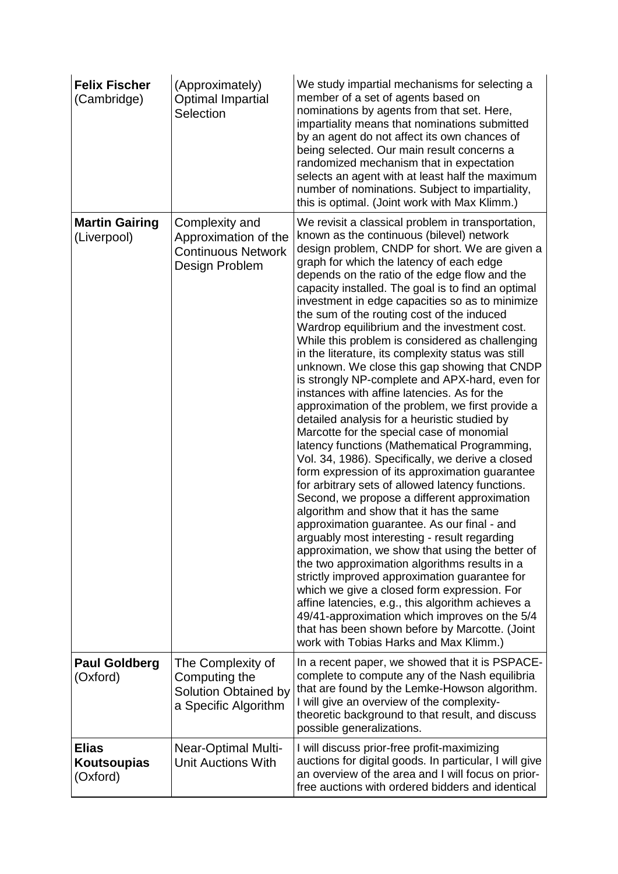| <b>Felix Fischer</b><br>(Cambridge)     | (Approximately)<br><b>Optimal Impartial</b><br>Selection                              | We study impartial mechanisms for selecting a<br>member of a set of agents based on<br>nominations by agents from that set. Here,<br>impartiality means that nominations submitted<br>by an agent do not affect its own chances of<br>being selected. Our main result concerns a<br>randomized mechanism that in expectation<br>selects an agent with at least half the maximum<br>number of nominations. Subject to impartiality,<br>this is optimal. (Joint work with Max Klimm.)                                                                                                                                                                                                                                                                                                                                                                                                                                                                                                                                                                                                                                                                                                                                                                                                                                                                                                                                                                                                                                                                                                                                                                                       |
|-----------------------------------------|---------------------------------------------------------------------------------------|---------------------------------------------------------------------------------------------------------------------------------------------------------------------------------------------------------------------------------------------------------------------------------------------------------------------------------------------------------------------------------------------------------------------------------------------------------------------------------------------------------------------------------------------------------------------------------------------------------------------------------------------------------------------------------------------------------------------------------------------------------------------------------------------------------------------------------------------------------------------------------------------------------------------------------------------------------------------------------------------------------------------------------------------------------------------------------------------------------------------------------------------------------------------------------------------------------------------------------------------------------------------------------------------------------------------------------------------------------------------------------------------------------------------------------------------------------------------------------------------------------------------------------------------------------------------------------------------------------------------------------------------------------------------------|
| <b>Martin Gairing</b><br>(Liverpool)    | Complexity and<br>Approximation of the<br><b>Continuous Network</b><br>Design Problem | We revisit a classical problem in transportation,<br>known as the continuous (bilevel) network<br>design problem, CNDP for short. We are given a<br>graph for which the latency of each edge<br>depends on the ratio of the edge flow and the<br>capacity installed. The goal is to find an optimal<br>investment in edge capacities so as to minimize<br>the sum of the routing cost of the induced<br>Wardrop equilibrium and the investment cost.<br>While this problem is considered as challenging<br>in the literature, its complexity status was still<br>unknown. We close this gap showing that CNDP<br>is strongly NP-complete and APX-hard, even for<br>instances with affine latencies. As for the<br>approximation of the problem, we first provide a<br>detailed analysis for a heuristic studied by<br>Marcotte for the special case of monomial<br>latency functions (Mathematical Programming,<br>Vol. 34, 1986). Specifically, we derive a closed<br>form expression of its approximation guarantee<br>for arbitrary sets of allowed latency functions.<br>Second, we propose a different approximation<br>algorithm and show that it has the same<br>approximation guarantee. As our final - and<br>arguably most interesting - result regarding<br>approximation, we show that using the better of<br>the two approximation algorithms results in a<br>strictly improved approximation guarantee for<br>which we give a closed form expression. For<br>affine latencies, e.g., this algorithm achieves a<br>49/41-approximation which improves on the 5/4<br>that has been shown before by Marcotte. (Joint<br>work with Tobias Harks and Max Klimm.) |
| <b>Paul Goldberg</b><br>(Oxford)        | The Complexity of<br>Computing the<br>Solution Obtained by<br>a Specific Algorithm    | In a recent paper, we showed that it is PSPACE-<br>complete to compute any of the Nash equilibria<br>that are found by the Lemke-Howson algorithm.<br>I will give an overview of the complexity-<br>theoretic background to that result, and discuss<br>possible generalizations.                                                                                                                                                                                                                                                                                                                                                                                                                                                                                                                                                                                                                                                                                                                                                                                                                                                                                                                                                                                                                                                                                                                                                                                                                                                                                                                                                                                         |
| <b>Elias</b><br>Koutsoupias<br>(Oxford) | <b>Near-Optimal Multi-</b><br><b>Unit Auctions With</b>                               | I will discuss prior-free profit-maximizing<br>auctions for digital goods. In particular, I will give<br>an overview of the area and I will focus on prior-<br>free auctions with ordered bidders and identical                                                                                                                                                                                                                                                                                                                                                                                                                                                                                                                                                                                                                                                                                                                                                                                                                                                                                                                                                                                                                                                                                                                                                                                                                                                                                                                                                                                                                                                           |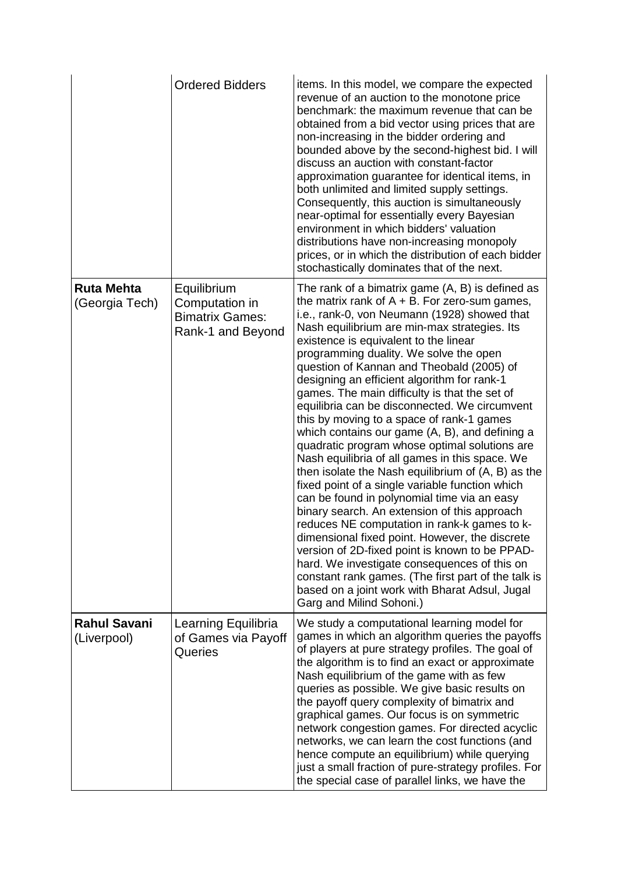|                                     | <b>Ordered Bidders</b>                                                       | items. In this model, we compare the expected<br>revenue of an auction to the monotone price<br>benchmark: the maximum revenue that can be<br>obtained from a bid vector using prices that are<br>non-increasing in the bidder ordering and<br>bounded above by the second-highest bid. I will<br>discuss an auction with constant-factor<br>approximation guarantee for identical items, in<br>both unlimited and limited supply settings.<br>Consequently, this auction is simultaneously<br>near-optimal for essentially every Bayesian<br>environment in which bidders' valuation<br>distributions have non-increasing monopoly<br>prices, or in which the distribution of each bidder<br>stochastically dominates that of the next.                                                                                                                                                                                                                                                                                                                                                                                                                                                                                                   |
|-------------------------------------|------------------------------------------------------------------------------|--------------------------------------------------------------------------------------------------------------------------------------------------------------------------------------------------------------------------------------------------------------------------------------------------------------------------------------------------------------------------------------------------------------------------------------------------------------------------------------------------------------------------------------------------------------------------------------------------------------------------------------------------------------------------------------------------------------------------------------------------------------------------------------------------------------------------------------------------------------------------------------------------------------------------------------------------------------------------------------------------------------------------------------------------------------------------------------------------------------------------------------------------------------------------------------------------------------------------------------------|
| <b>Ruta Mehta</b><br>(Georgia Tech) | Equilibrium<br>Computation in<br><b>Bimatrix Games:</b><br>Rank-1 and Beyond | The rank of a bimatrix game (A, B) is defined as<br>the matrix rank of $A + B$ . For zero-sum games,<br>i.e., rank-0, von Neumann (1928) showed that<br>Nash equilibrium are min-max strategies. Its<br>existence is equivalent to the linear<br>programming duality. We solve the open<br>question of Kannan and Theobald (2005) of<br>designing an efficient algorithm for rank-1<br>games. The main difficulty is that the set of<br>equilibria can be disconnected. We circumvent<br>this by moving to a space of rank-1 games<br>which contains our game (A, B), and defining a<br>quadratic program whose optimal solutions are<br>Nash equilibria of all games in this space. We<br>then isolate the Nash equilibrium of $(A, B)$ as the<br>fixed point of a single variable function which<br>can be found in polynomial time via an easy<br>binary search. An extension of this approach<br>reduces NE computation in rank-k games to k-<br>dimensional fixed point. However, the discrete<br>version of 2D-fixed point is known to be PPAD-<br>hard. We investigate consequences of this on<br>constant rank games. (The first part of the talk is<br>based on a joint work with Bharat Adsul, Jugal<br>Garg and Milind Sohoni.) |
| <b>Rahul Savani</b><br>(Liverpool)  | Learning Equilibria<br>of Games via Payoff<br>Queries                        | We study a computational learning model for<br>games in which an algorithm queries the payoffs<br>of players at pure strategy profiles. The goal of<br>the algorithm is to find an exact or approximate<br>Nash equilibrium of the game with as few<br>queries as possible. We give basic results on<br>the payoff query complexity of bimatrix and<br>graphical games. Our focus is on symmetric<br>network congestion games. For directed acyclic<br>networks, we can learn the cost functions (and<br>hence compute an equilibrium) while querying<br>just a small fraction of pure-strategy profiles. For<br>the special case of parallel links, we have the                                                                                                                                                                                                                                                                                                                                                                                                                                                                                                                                                                           |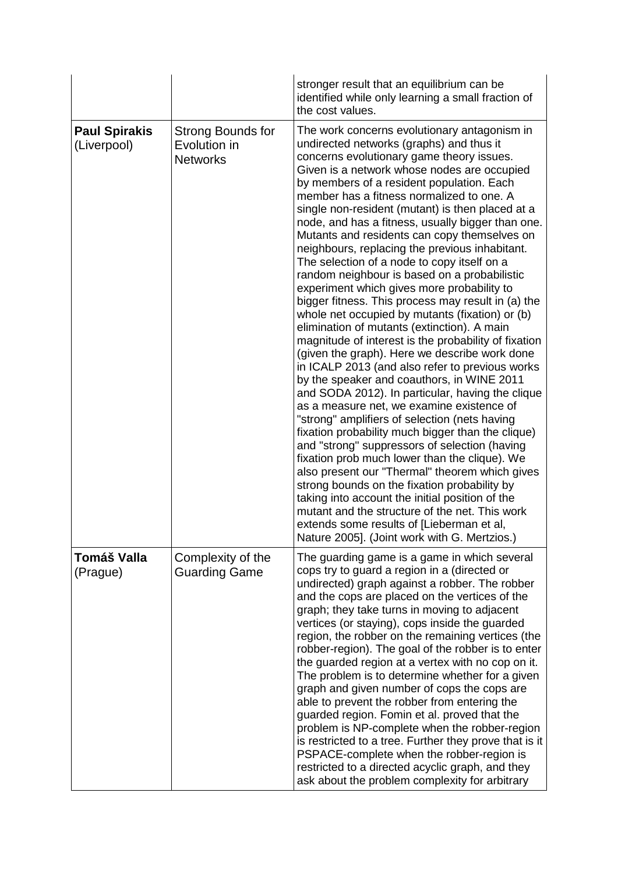|                                     |                                                      | stronger result that an equilibrium can be<br>identified while only learning a small fraction of<br>the cost values.                                                                                                                                                                                                                                                                                                                                                                                                                                                                                                                                                                                                                                                                                                                                                                                                                                                                                                                                                                                                                                                                                                                                                                                                                                                                                                                                                                                                                                                                                                  |
|-------------------------------------|------------------------------------------------------|-----------------------------------------------------------------------------------------------------------------------------------------------------------------------------------------------------------------------------------------------------------------------------------------------------------------------------------------------------------------------------------------------------------------------------------------------------------------------------------------------------------------------------------------------------------------------------------------------------------------------------------------------------------------------------------------------------------------------------------------------------------------------------------------------------------------------------------------------------------------------------------------------------------------------------------------------------------------------------------------------------------------------------------------------------------------------------------------------------------------------------------------------------------------------------------------------------------------------------------------------------------------------------------------------------------------------------------------------------------------------------------------------------------------------------------------------------------------------------------------------------------------------------------------------------------------------------------------------------------------------|
| <b>Paul Spirakis</b><br>(Liverpool) | Strong Bounds for<br>Evolution in<br><b>Networks</b> | The work concerns evolutionary antagonism in<br>undirected networks (graphs) and thus it<br>concerns evolutionary game theory issues.<br>Given is a network whose nodes are occupied<br>by members of a resident population. Each<br>member has a fitness normalized to one. A<br>single non-resident (mutant) is then placed at a<br>node, and has a fitness, usually bigger than one.<br>Mutants and residents can copy themselves on<br>neighbours, replacing the previous inhabitant.<br>The selection of a node to copy itself on a<br>random neighbour is based on a probabilistic<br>experiment which gives more probability to<br>bigger fitness. This process may result in (a) the<br>whole net occupied by mutants (fixation) or (b)<br>elimination of mutants (extinction). A main<br>magnitude of interest is the probability of fixation<br>(given the graph). Here we describe work done<br>in ICALP 2013 (and also refer to previous works<br>by the speaker and coauthors, in WINE 2011<br>and SODA 2012). In particular, having the clique<br>as a measure net, we examine existence of<br>"strong" amplifiers of selection (nets having<br>fixation probability much bigger than the clique)<br>and "strong" suppressors of selection (having<br>fixation prob much lower than the clique). We<br>also present our "Thermal" theorem which gives<br>strong bounds on the fixation probability by<br>taking into account the initial position of the<br>mutant and the structure of the net. This work<br>extends some results of [Lieberman et al,<br>Nature 2005]. (Joint work with G. Mertzios.) |
| Tomáš Valla<br>(Prague)             | Complexity of the<br><b>Guarding Game</b>            | The guarding game is a game in which several<br>cops try to guard a region in a (directed or<br>undirected) graph against a robber. The robber<br>and the cops are placed on the vertices of the<br>graph; they take turns in moving to adjacent<br>vertices (or staying), cops inside the guarded<br>region, the robber on the remaining vertices (the<br>robber-region). The goal of the robber is to enter<br>the guarded region at a vertex with no cop on it.<br>The problem is to determine whether for a given<br>graph and given number of cops the cops are<br>able to prevent the robber from entering the<br>guarded region. Fomin et al. proved that the<br>problem is NP-complete when the robber-region<br>is restricted to a tree. Further they prove that is it<br>PSPACE-complete when the robber-region is<br>restricted to a directed acyclic graph, and they<br>ask about the problem complexity for arbitrary                                                                                                                                                                                                                                                                                                                                                                                                                                                                                                                                                                                                                                                                                    |